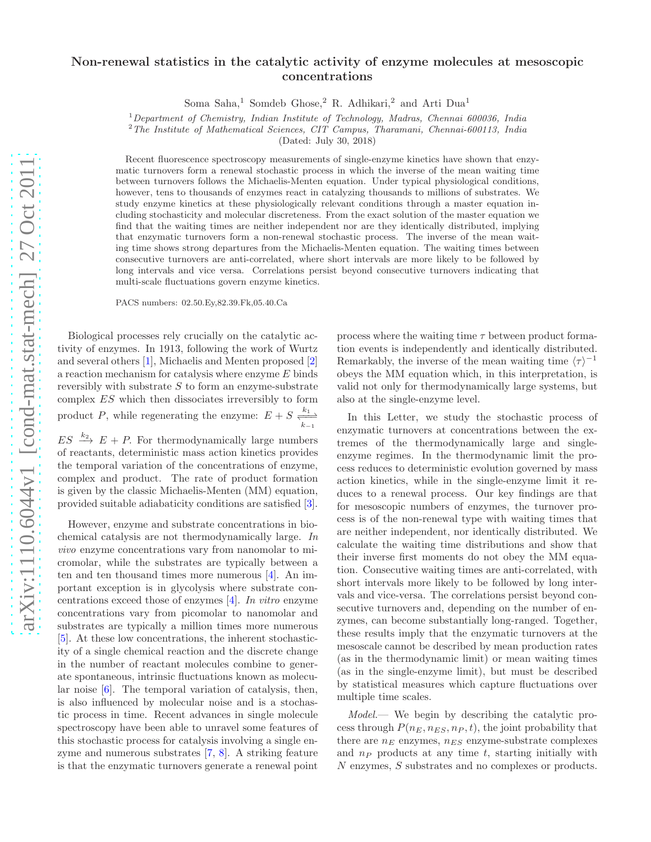## Non-renewal statistics in the catalytic activity of enzyme molecules at mesoscopic concentrations

Soma Saha,<sup>1</sup> Somdeb Ghose,<sup>2</sup> R. Adhikari,<sup>2</sup> and Arti Dua<sup>1</sup>

 $1$ Department of Chemistry, Indian Institute of Technology, Madras, Chennai 600036, India

 $2$ The Institute of Mathematical Sciences, CIT Campus, Tharamani, Chennai-600113, India

(Dated: July 30, 2018)

Recent fluorescence spectroscopy measurements of single-enzyme kinetics have shown that enzymatic turnovers form a renewal stochastic process in which the inverse of the mean waiting time between turnovers follows the Michaelis-Menten equation. Under typical physiological conditions, however, tens to thousands of enzymes react in catalyzing thousands to millions of substrates. We study enzyme kinetics at these physiologically relevant conditions through a master equation including stochasticity and molecular discreteness. From the exact solution of the master equation we find that the waiting times are neither independent nor are they identically distributed, implying that enzymatic turnovers form a non-renewal stochastic process. The inverse of the mean waiting time shows strong departures from the Michaelis-Menten equation. The waiting times between consecutive turnovers are anti-correlated, where short intervals are more likely to be followed by long intervals and vice versa. Correlations persist beyond consecutive turnovers indicating that multi-scale fluctuations govern enzyme kinetics.

PACS numbers: 02.50.Ey,82.39.Fk,05.40.Ca

Biological processes rely crucially on the catalytic activity of enzymes. In 1913, following the work of Wurtz and several others [\[1\]](#page-3-0), Michaelis and Menten proposed [\[2](#page-3-1)] a reaction mechanism for catalysis where enzyme E binds reversibly with substrate  $S$  to form an enzyme-substrate complex ES which then dissociates irreversibly to form product P, while regenerating the enzyme:  $E + S \frac{k_1}{k_1-k_2}$  $ES \stackrel{k_2}{\longrightarrow} E + P$ . For thermodynamically large numbers of reactants, deterministic mass action kinetics provides the temporal variation of the concentrations of enzyme, complex and product. The rate of product formation is given by the classic Michaelis-Menten (MM) equation, provided suitable adiabaticity conditions are satisfied [\[3\]](#page-3-2).

However, enzyme and substrate concentrations in biochemical catalysis are not thermodynamically large. In vivo enzyme concentrations vary from nanomolar to micromolar, while the substrates are typically between a ten and ten thousand times more numerous [\[4](#page-3-3)]. An important exception is in glycolysis where substrate concentrations exceed those of enzymes [\[4\]](#page-3-3). In vitro enzyme concentrations vary from picomolar to nanomolar and substrates are typically a million times more numerous [\[5\]](#page-3-4). At these low concentrations, the inherent stochasticity of a single chemical reaction and the discrete change in the number of reactant molecules combine to generate spontaneous, intrinsic fluctuations known as molecular noise [\[6\]](#page-3-5). The temporal variation of catalysis, then, is also influenced by molecular noise and is a stochastic process in time. Recent advances in single molecule spectroscopy have been able to unravel some features of this stochastic process for catalysis involving a single enzyme and numerous substrates [\[7,](#page-3-6) [8](#page-3-7)]. A striking feature is that the enzymatic turnovers generate a renewal point

process where the waiting time  $\tau$  between product formation events is independently and identically distributed. Remarkably, the inverse of the mean waiting time  $\langle \tau \rangle^{-1}$ obeys the MM equation which, in this interpretation, is valid not only for thermodynamically large systems, but also at the single-enzyme level.

In this Letter, we study the stochastic process of enzymatic turnovers at concentrations between the extremes of the thermodynamically large and singleenzyme regimes. In the thermodynamic limit the process reduces to deterministic evolution governed by mass action kinetics, while in the single-enzyme limit it reduces to a renewal process. Our key findings are that for mesoscopic numbers of enzymes, the turnover process is of the non-renewal type with waiting times that are neither independent, nor identically distributed. We calculate the waiting time distributions and show that their inverse first moments do not obey the MM equation. Consecutive waiting times are anti-correlated, with short intervals more likely to be followed by long intervals and vice-versa. The correlations persist beyond consecutive turnovers and, depending on the number of enzymes, can become substantially long-ranged. Together, these results imply that the enzymatic turnovers at the mesoscale cannot be described by mean production rates (as in the thermodynamic limit) or mean waiting times (as in the single-enzyme limit), but must be described by statistical measures which capture fluctuations over multiple time scales.

Model.— We begin by describing the catalytic process through  $P(n_E, n_{ES}, n_P, t)$ , the joint probability that there are  $n_E$  enzymes,  $n_{ES}$  enzyme-substrate complexes and  $n_P$  products at any time  $t$ , starting initially with N enzymes, S substrates and no complexes or products.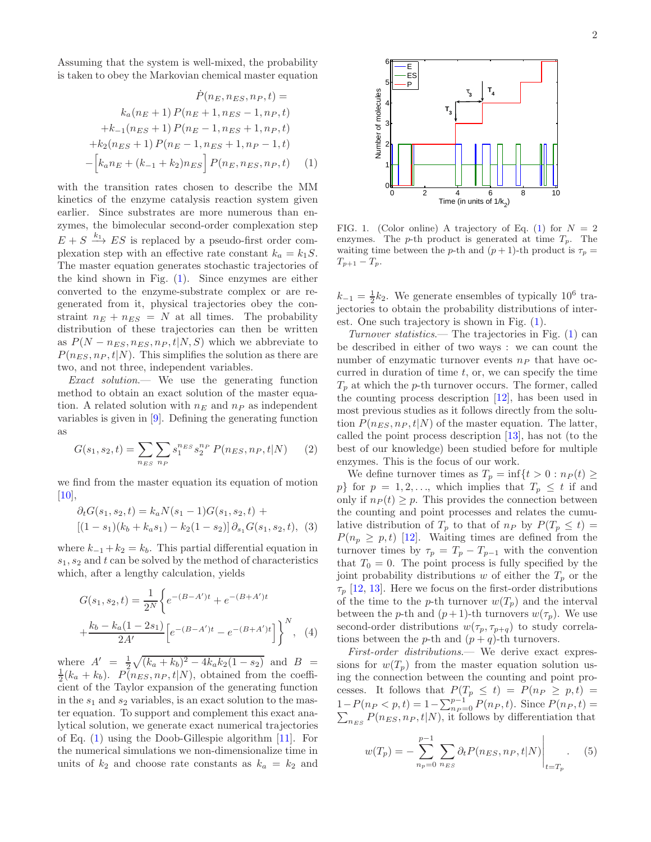Assuming that the system is well-mixed, the probability is taken to obey the Markovian chemical master equation

<span id="page-1-1"></span>
$$
\dot{P}(n_E, n_{ES}, n_P, t) =
$$
\n
$$
k_a(n_E + 1) P(n_E + 1, n_{ES} - 1, n_P, t)
$$
\n
$$
+ k_{-1}(n_{ES} + 1) P(n_E - 1, n_{ES} + 1, n_P, t)
$$
\n
$$
+ k_2(n_{ES} + 1) P(n_E - 1, n_{ES} + 1, n_P - 1, t)
$$
\n
$$
- \left[ k_a n_E + (k_{-1} + k_2) n_{ES} \right] P(n_E, n_{ES}, n_P, t) \tag{1}
$$

with the transition rates chosen to describe the MM kinetics of the enzyme catalysis reaction system given earlier. Since substrates are more numerous than enzymes, the bimolecular second-order complexation step  $E + S \xrightarrow{k_1} ES$  is replaced by a pseudo-first order complexation step with an effective rate constant  $k_a = k_1S$ . The master equation generates stochastic trajectories of the kind shown in Fig. [\(1\)](#page-1-0). Since enzymes are either converted to the enzyme-substrate complex or are regenerated from it, physical trajectories obey the constraint  $n_E + n_{ES} = N$  at all times. The probability distribution of these trajectories can then be written as  $P(N - n_{ES}, n_{ES}, n_P, t | N, S)$  which we abbreviate to  $P(n_{ES}, n_P, t|N)$ . This simplifies the solution as there are two, and not three, independent variables.

Exact solution.— We use the generating function method to obtain an exact solution of the master equation. A related solution with  $n_E$  and  $n_P$  as independent variables is given in [\[9](#page-3-8)]. Defining the generating function as

$$
G(s_1, s_2, t) = \sum_{n_{ES}} \sum_{n_P} s_1^{n_{ES}} s_2^{n_P} P(n_{ES}, n_P, t | N)
$$
 (2)

we find from the master equation its equation of motion  $[10]$ ,

<span id="page-1-3"></span>
$$
\partial_t G(s_1, s_2, t) = k_a N(s_1 - 1) G(s_1, s_2, t) +
$$
  
[(1 - s\_1)(k\_b + k\_a s\_1) - k\_2(1 - s\_2)]  $\partial_{s_1} G(s_1, s_2, t)$ , (3)

where  $k_{-1} + k_2 = k_b$ . This partial differential equation in  $s_1, s_2$  and t can be solved by the method of characteristics which, after a lengthy calculation, yields

<span id="page-1-4"></span>
$$
G(s_1, s_2, t) = \frac{1}{2^N} \left\{ e^{-(B-A')t} + e^{-(B+A')t} + \frac{k_b - k_a(1 - 2s_1)}{2A'} \left[ e^{-(B-A')t} - e^{-(B+A')t} \right] \right\}^N, \quad (4)
$$

where  $A' = \frac{1}{2}\sqrt{(k_a + k_b)^2 - 4k_a k_2(1 - s_2)}$  and  $B =$  $\frac{1}{2}(k_a + k_b)$ .  $P(n_{ES}, n_P, t|N)$ , obtained from the coefficient of the Taylor expansion of the generating function in the  $s_1$  and  $s_2$  variables, is an exact solution to the master equation. To support and complement this exact analytical solution, we generate exact numerical trajectories of Eq.  $(1)$  using the Doob-Gillespie algorithm  $[11]$ . For the numerical simulations we non-dimensionalize time in units of  $k_2$  and choose rate constants as  $k_a = k_2$  and



<span id="page-1-0"></span>FIG. 1. (Color online) A trajectory of Eq. [\(1\)](#page-1-1) for  $N = 2$ enzymes. The p-th product is generated at time  $T_p$ . The waiting time between the p-th and  $(p+1)$ -th product is  $\tau_p =$  $T_{p+1} - T_p$ .

 $k_{-1} = \frac{1}{2}k_2$ . We generate ensembles of typically 10<sup>6</sup> trajectories to obtain the probability distributions of interest. One such trajectory is shown in Fig. [\(1\)](#page-1-0).

Turnover statistics.— The trajectories in Fig.  $(1)$  can be described in either of two ways : we can count the number of enzymatic turnover events  $n_P$  that have occurred in duration of time  $t$ , or, we can specify the time  $T_p$  at which the p-th turnover occurs. The former, called the counting process description [\[12](#page-4-0)], has been used in most previous studies as it follows directly from the solution  $P(n_{ES}, n_P, t|N)$  of the master equation. The latter, called the point process description [\[13\]](#page-4-1), has not (to the best of our knowledge) been studied before for multiple enzymes. This is the focus of our work.

<span id="page-1-2"></span>We define turnover times as  $T_p = \inf\{t > 0 : n_P(t) \ge$ p} for  $p = 1, 2, \ldots$ , which implies that  $T_p \leq t$  if and only if  $n_P (t) \geq p$ . This provides the connection between the counting and point processes and relates the cumulative distribution of  $T_p$  to that of  $n_P$  by  $P(T_p \leq t)$  $P(n_p \geq p, t)$  [\[12\]](#page-4-0). Waiting times are defined from the turnover times by  $\tau_p = T_p - T_{p-1}$  with the convention that  $T_0 = 0$ . The point process is fully specified by the joint probability distributions w of either the  $T_p$  or the  $\tau_p$  [\[12,](#page-4-0) [13\]](#page-4-1). Here we focus on the first-order distributions of the time to the p-th turnover  $w(T_p)$  and the interval between the p-th and  $(p+1)$ -th turnovers  $w(\tau_p)$ . We use second-order distributions  $w(\tau_p, \tau_{p+q})$  to study correlations between the *p*-th and  $(p+q)$ -th turnovers.

First-order distributions.— We derive exact expressions for  $w(T_p)$  from the master equation solution using the connection between the counting and point processes. It follows that  $P(T_p \leq t) = P(n_P \geq p, t)$  $1-P(n_P < p, t) = 1 - \sum_{n_P=0}^{p-1} P(n_P, t)$ . Since  $P(n_P, t) = \sum_{n_E s} P(n_{ES}, n_P, t|N)$ , it follows by differentiation that

<span id="page-1-5"></span>
$$
w(T_p) = -\sum_{n_p=0}^{p-1} \sum_{n_{ES}} \partial_t P(n_{ES}, n_P, t | N) \Big|_{t=T_p}.
$$
 (5)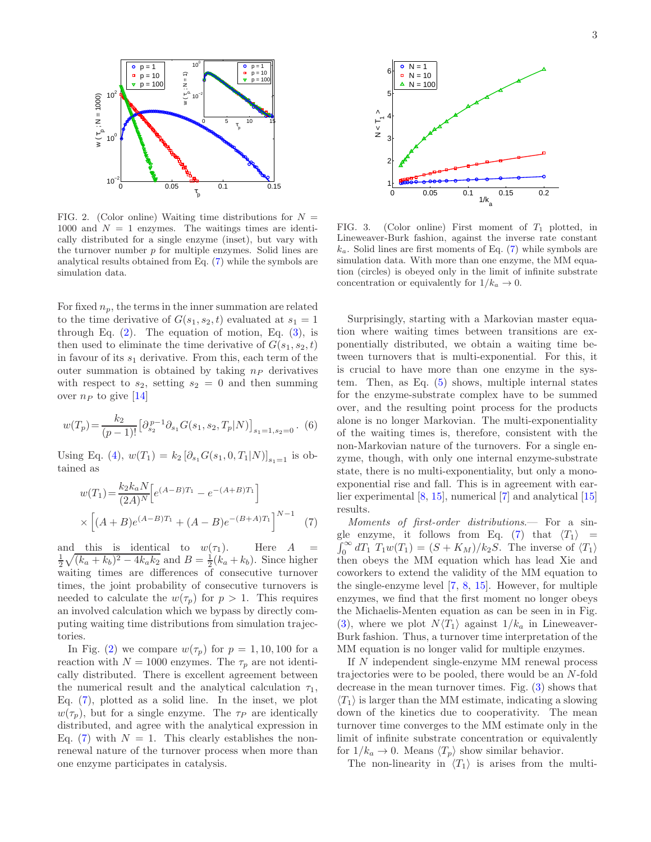

<span id="page-2-1"></span>FIG. 2. (Color online) Waiting time distributions for  $N =$ 1000 and  $N = 1$  enzymes. The waitings times are identically distributed for a single enzyme (inset), but vary with the turnover number  $p$  for multiple enzymes. Solid lines are analytical results obtained from Eq. [\(7\)](#page-2-0) while the symbols are simulation data.

For fixed  $n_p$ , the terms in the inner summation are related to the time derivative of  $G(s_1, s_2, t)$  evaluated at  $s_1 = 1$ through Eq.  $(2)$ . The equation of motion, Eq.  $(3)$ , is then used to eliminate the time derivative of  $G(s_1, s_2, t)$ in favour of its  $s_1$  derivative. From this, each term of the outer summation is obtained by taking  $n_P$  derivatives with respect to  $s_2$ , setting  $s_2 = 0$  and then summing over  $n_P$  to give [\[14\]](#page-4-2)

$$
w(T_p) = \frac{k_2}{(p-1)!} \left[ \partial_{s_2}^{p-1} \partial_{s_1} G(s_1, s_2, T_p | N) \right]_{s_1 = 1, s_2 = 0} .
$$
 (6)

Using Eq. [\(4\)](#page-1-4),  $w(T_1) = k_2 [\partial_{s_1} G(s_1, 0, T_1|N)]_{s_1=1}$  is obtained as

<span id="page-2-0"></span>
$$
w(T_1) = \frac{k_2 k_a N}{(2A)^N} \Big[ e^{(A-B)T_1} - e^{-(A+B)T_1} \Big]
$$
  
 
$$
\times \Big[ (A+B)e^{(A-B)T_1} + (A-B)e^{-(B+A)T_1} \Big]^{N-1} \tag{7}
$$

and this is identical to  $w(\tau_1)$ . Here A  $\frac{1}{2}\sqrt{(k_a + k_b)^2 - 4k_ak_2}$  and  $B = \frac{1}{2}(k_a + k_b)$ . Since higher waiting times are differences of consecutive turnover times, the joint probability of consecutive turnovers is needed to calculate the  $w(\tau_p)$  for  $p > 1$ . This requires an involved calculation which we bypass by directly computing waiting time distributions from simulation trajectories.

In Fig. [\(2\)](#page-2-1) we compare  $w(\tau_p)$  for  $p = 1, 10, 100$  for a reaction with  $N = 1000$  enzymes. The  $\tau_p$  are not identically distributed. There is excellent agreement between the numerical result and the analytical calculation  $\tau_1$ , Eq. [\(7\)](#page-2-0), plotted as a solid line. In the inset, we plot  $w(\tau_p)$ , but for a single enzyme. The  $\tau_P$  are identically distributed, and agree with the analytical expression in Eq. [\(7\)](#page-2-0) with  $N = 1$ . This clearly establishes the nonrenewal nature of the turnover process when more than one enzyme participates in catalysis.



<span id="page-2-2"></span>FIG. 3. (Color online) First moment of  $T_1$  plotted, in Lineweaver-Burk fashion, against the inverse rate constant  $k_a$ . Solid lines are first moments of Eq. [\(7\)](#page-2-0) while symbols are simulation data. With more than one enzyme, the MM equation (circles) is obeyed only in the limit of infinite substrate concentration or equivalently for  $1/k_a \rightarrow 0$ .

Surprisingly, starting with a Markovian master equation where waiting times between transitions are exponentially distributed, we obtain a waiting time between turnovers that is multi-exponential. For this, it is crucial to have more than one enzyme in the system. Then, as Eq. [\(5\)](#page-1-5) shows, multiple internal states for the enzyme-substrate complex have to be summed over, and the resulting point process for the products alone is no longer Markovian. The multi-exponentiality of the waiting times is, therefore, consistent with the non-Markovian nature of the turnovers. For a single enzyme, though, with only one internal enzyme-substrate state, there is no multi-exponentiality, but only a monoexponential rise and fall. This is in agreement with earlier experimental [\[8](#page-3-7), [15\]](#page-4-3), numerical [\[7](#page-3-6)] and analytical [\[15](#page-4-3)] results.

Moments of first-order distributions.— For a sin-gle enzyme, it follows from Eq. [\(7\)](#page-2-0) that  $\langle T_1 \rangle =$ <br> $\int_0^\infty dT_1 T_1 w(T_1) = (S + K_M)/k_2S$ . The inverse of  $\langle T_1 \rangle$ then obeys the MM equation which has lead Xie and coworkers to extend the validity of the MM equation to the single-enzyme level [\[7](#page-3-6), [8](#page-3-7), [15\]](#page-4-3). However, for multiple enzymes, we find that the first moment no longer obeys the Michaelis-Menten equation as can be seen in in Fig. [\(3\)](#page-2-2), where we plot  $N\langle T_1\rangle$  against  $1/k_a$  in Lineweaver-Burk fashion. Thus, a turnover time interpretation of the MM equation is no longer valid for multiple enzymes.

If N independent single-enzyme MM renewal process trajectories were to be pooled, there would be an N-fold decrease in the mean turnover times. Fig. [\(3\)](#page-2-2) shows that  $\langle T_1 \rangle$  is larger than the MM estimate, indicating a slowing down of the kinetics due to cooperativity. The mean turnover time converges to the MM estimate only in the limit of infinite substrate concentration or equivalently for  $1/k_a \to 0$ . Means  $\langle T_p \rangle$  show similar behavior.

The non-linearity in  $\langle T_1 \rangle$  is arises from the multi-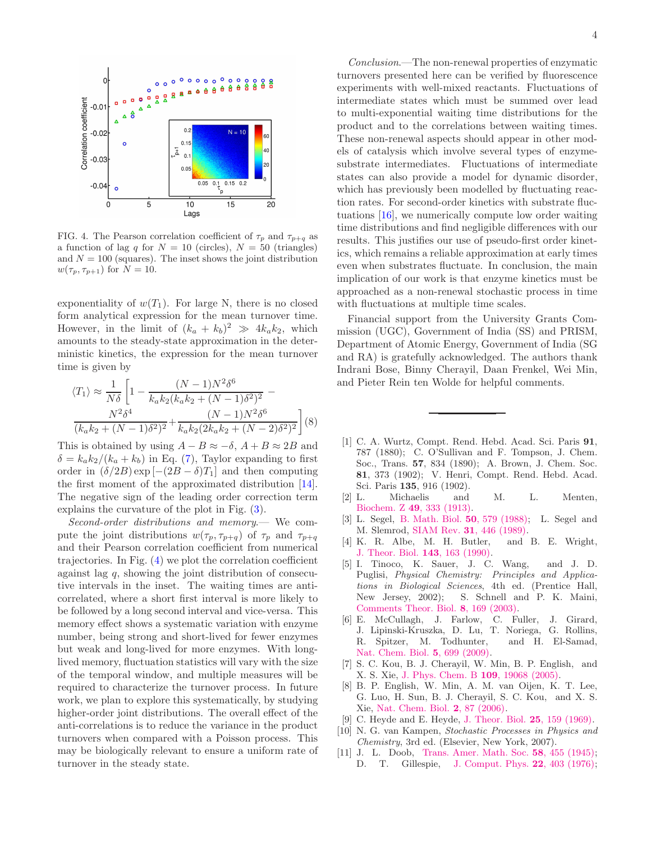

<span id="page-3-11"></span>FIG. 4. The Pearson correlation coefficient of  $\tau_p$  and  $\tau_{p+q}$  as a function of lag q for  $N = 10$  (circles),  $N = 50$  (triangles) and  $N = 100$  (squares). The inset shows the joint distribution  $w(\tau_p, \tau_{p+1})$  for  $N = 10$ .

exponentiality of  $w(T_1)$ . For large N, there is no closed form analytical expression for the mean turnover time. However, in the limit of  $(k_a + k_b)^2 \gg 4k_a k_2$ , which amounts to the steady-state approximation in the deterministic kinetics, the expression for the mean turnover time is given by

$$
\langle T_1 \rangle \approx \frac{1}{N\delta} \left[ 1 - \frac{(N-1)N^2\delta^6}{k_a k_2 (k_a k_2 + (N-1)\delta^2)^2} - \frac{N^2\delta^4}{(k_a k_2 + (N-1)\delta^2)^2} + \frac{(N-1)N^2\delta^6}{k_a k_2 (2k_a k_2 + (N-2)\delta^2)^2} \right] (8)
$$

This is obtained by using  $A - B \approx -\delta$ ,  $A + B \approx 2B$  and  $\delta = k_a k_2/(k_a + k_b)$  in Eq. [\(7\)](#page-2-0), Taylor expanding to first order in  $(\delta/2B) \exp[-(2B - \delta)T_1]$  and then computing the first moment of the approximated distribution [\[14\]](#page-4-2). The negative sign of the leading order correction term explains the curvature of the plot in Fig. [\(3\)](#page-2-2).

Second-order distributions and memory.— We compute the joint distributions  $w(\tau_p, \tau_{p+q})$  of  $\tau_p$  and  $\tau_{p+q}$ and their Pearson correlation coefficient from numerical trajectories. In Fig. [\(4\)](#page-3-11) we plot the correlation coefficient against lag q, showing the joint distribution of consecutive intervals in the inset. The waiting times are anticorrelated, where a short first interval is more likely to be followed by a long second interval and vice-versa. This memory effect shows a systematic variation with enzyme number, being strong and short-lived for fewer enzymes but weak and long-lived for more enzymes. With longlived memory, fluctuation statistics will vary with the size of the temporal window, and multiple measures will be required to characterize the turnover process. In future work, we plan to explore this systematically, by studying higher-order joint distributions. The overall effect of the anti-correlations is to reduce the variance in the product turnovers when compared with a Poisson process. This may be biologically relevant to ensure a uniform rate of turnover in the steady state.

Conclusion.—The non-renewal properties of enzymatic turnovers presented here can be verified by fluorescence experiments with well-mixed reactants. Fluctuations of intermediate states which must be summed over lead to multi-exponential waiting time distributions for the product and to the correlations between waiting times. These non-renewal aspects should appear in other models of catalysis which involve several types of enzymesubstrate intermediates. Fluctuations of intermediate states can also provide a model for dynamic disorder, which has previously been modelled by fluctuating reaction rates. For second-order kinetics with substrate fluctuations [\[16\]](#page-4-4), we numerically compute low order waiting time distributions and find negligible differences with our results. This justifies our use of pseudo-first order kinetics, which remains a reliable approximation at early times even when substrates fluctuate. In conclusion, the main implication of our work is that enzyme kinetics must be approached as a non-renewal stochastic process in time with fluctuations at multiple time scales.

Financial support from the University Grants Commission (UGC), Government of India (SS) and PRISM, Department of Atomic Energy, Government of India (SG and RA) is gratefully acknowledged. The authors thank Indrani Bose, Binny Cherayil, Daan Frenkel, Wei Min, and Pieter Rein ten Wolde for helpful comments.

- <span id="page-3-0"></span>[1] C. A. Wurtz, Compt. Rend. Hebd. Acad. Sci. Paris 91, 787 (1880); C. O'Sullivan and F. Tompson, J. Chem. Soc., Trans. 57, 834 (1890); A. Brown, J. Chem. Soc. 81, 373 (1902); V. Henri, Compt. Rend. Hebd. Acad. Sci. Paris 135, 916 (1902).
- <span id="page-3-1"></span>[2] L. Michaelis and M. L. Menten, Biochem. Z 49[, 333 \(1913\).](http://www.citeulike.org/group/2018/article/1550034)
- <span id="page-3-2"></span>[3] L. Segel, [B. Math. Biol.](http://dx.doi.org/10.1007/BF02460092) 50, 579 (1988); L. Segel and M. Slemrod, SIAM Rev. 31[, 446 \(1989\).](http://dx.doi.org/10.1137/1031091)
- <span id="page-3-3"></span>[4] K. R. Albe, M. H. Butler, and B. E. Wright, [J. Theor. Biol.](http://dx.doi.org/10.1016/S0022-5193(05)80266-8) 143, 163 (1990).
- <span id="page-3-4"></span>[5] I. Tinoco, K. Sauer, J. C. Wang, and J. D. Puglisi, Physical Chemistry: Principles and Applications in Biological Sciences, 4th ed. (Prentice Hall, New Jersey, 2002); S. Schnell and P. K. Maini, [Comments Theor. Biol.](http://www.informatics.indiana.edu/schnell/papers/ctb8_169.pdf) 8, 169 (2003).
- <span id="page-3-5"></span>[6] E. McCullagh, J. Farlow, C. Fuller, J. Girard, J. Lipinski-Kruszka, D. Lu, T. Noriega, G. Rollins, R. Spitzer, M. Todhunter, and H. El-Samad, [Nat. Chem. Biol.](http://dx.doi.org/10.1038/nchembio.222) 5, 699 (2009).
- <span id="page-3-6"></span>[7] S. C. Kou, B. J. Cherayil, W. Min, B. P. English, and X. S. Xie, [J. Phys. Chem. B](http://dx.doi.org/ 10.1021/jp051490q) 109, 19068 (2005).
- <span id="page-3-7"></span>[8] B. P. English, W. Min, A. M. van Oijen, K. T. Lee, G. Luo, H. Sun, B. J. Cherayil, S. C. Kou, and X. S. Xie, [Nat. Chem. Biol.](http://dx.doi.org/10.1038/nchembio759) 2, 87 (2006).
- <span id="page-3-8"></span>[9] C. Heyde and E. Heyde, [J. Theor. Biol.](http://dx.doi.org/10.1016/S0022-5193(69)80022-6) 25, 159 (1969).
- <span id="page-3-9"></span>[10] N. G. van Kampen, Stochastic Processes in Physics and Chemistry, 3rd ed. (Elsevier, New York, 2007).
- <span id="page-3-10"></span>[11] J. L. Doob, [Trans. Amer. Math. Soc.](http://www.jstor.org/stable/1990339) 58, 455 (1945); D. T. Gillespie, [J. Comput. Phys.](http://dx.doi.org/10.1016/0021-9991(76)90041-3) 22, 403 (1976);